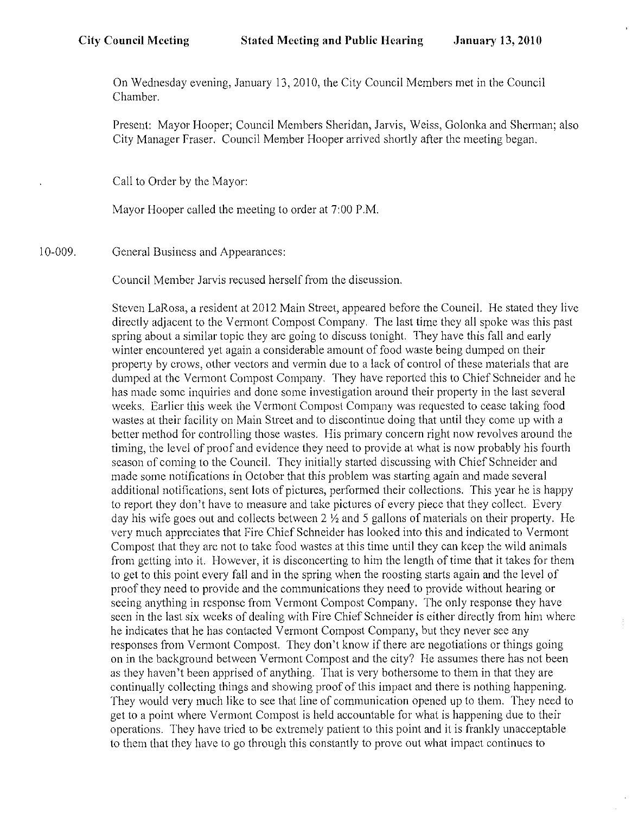On Wednesday evening, January 13,2010, the City Council Members met in the Council Chamber.

Present: Mayor Hooper; Council Members Sheridan, Jarvis, Weiss, Golonka and Sherman; also City Manager Fraser. Council Member Hooper arrived shortly after the meeting began.

Call to Order by the Mayor:

Mayor Hooper called the meeting to order at 7:00 P.M.

10-009. General Business and Appearances:

Council Member Jarvis recused herself from the discussion.

Steven LaRosa, a resident at 2012 Main Street, appeared before the Council. He stated they live directly adjacent to the Vennont Compost Company. The last time they all spoke was this past spring about a similar topic they are going to discuss tonight. They have this fall and early winter encountered yet again a considerable amount of food waste being dumped on their property by crows, other vectors and vermin due to a lack of control of these materials that arc dumped at the Vermont Compost Company. They have reportcd this to Chief Schneider and he has made somc inquiries and done some investigation around their property in the last several weeks. Earlier ihis week the Vermont Compost Company was requested to cease taking food wastes at their facility on Main Street and to discontinue doing that until they come up with a better method for controlling those wastes. His primary concern right now revolves around the timing, the levcl of proof and evidence they need to provide at what is now probably his fourth season of coming to the Council. They initially started discussing with Chief Schneider and made some notifications in October that this problem was starting again and made several additional notifications, sent lots of pictures, performed their collections. This year he is happy to report they don't have to measure and take pictures of every piece that they collect. Every day his wife goes out and collects between 2 *Y,* and 5 gallons of materials on their property. He very much appreciates that Fire Chief Schneider has looked into this and indicated to Vermont Compost that they arc not to take food wastes at this time until they can keep the wild animals from getting into it. However, it is disconcerting to him the length of time that it takes for them to get to this point every fall and in the spring when the roosting starts again and the level of proof they need to provide and the communications they need to provide without hearing or seeing anything in rcsponse from Vermont Compost Company. The only response they have seen in the last six wceks of dealing with Fire Chief Schneider is either directly from him wherc he indicates that he has contacted Vermont Compost Company, but they never see any responses from V crmont Compost. They don't know if there are negotiations or things going on in the background bctween Vermont Compost and the city? He assumes there has not been as they haven't been apprised of anything. That is very bothersome to them in that they are continually collecting things and showing proof of this impact and there is nothing happening. They would very much likc to see that line of communication opened up to them. They necd to get to a point where Vermont Compost is held accountable for what is happening due to their operations. They have tricd to be extrcmely patient to this point and it is frankly unacceptable to them that they have to go through this constantly to prove out what impact continues to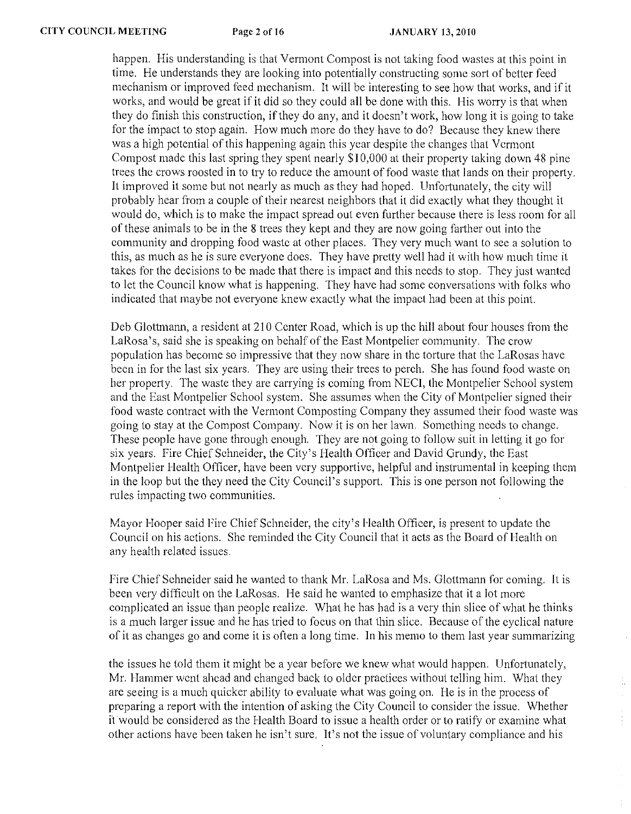happen. His understanding is that Vermont Compost is not taking food wastes at this point in time. He understands they are looking into potentially constructing some sort of better feed mechanism or improved feed mechanism. It will be interesting to see how that works, and if it works, and would be great if it did so they could all be done with this. His worry is that when they do finish this construction, if they do any, and it doesn't work, how long it is going to take for the impact to stop again. How much more do they have to do? Because they knew there was a high potential of this happening again this year despite the changes that V crmont Compost made this last spring they spent nearly \$ I 0,000 at their property taking down 48 pine trees thc crows roosted in to try to reduce the amount of food waste that lands on their property. It improved it some but not nearly as much as thcy had hoped. Unfortunately, the city will probably hear from a couple of their nearest neighbors that it did exactly what they thought it would do, which is to make the impact spread out even further because there is less room for all of these animals to be in the 8 trees they kept and thcy are now going farther out into the community and dropping food wastc at other places. They very much want to see a solution to this, as much as he is sure everyone does. They have pretty well had it with how much time it takes for the decisions to be made that there is impact and this needs to stop. They just wanted to let the Council know what is happening. They have had some conversations with folks who indicated that maybe not everyone knew exactly what the impact had been at this point.

Deb Glottmann, a resident at 210 Center Road, which is up the hill about four houses from the LaRosa's, said she is speaking on behalf of the East Montpelier community. The crow population has become so impressive that they now share in the torture that the LaRosas have been in for the last six years. They are using their trees to perch. She has found food waste on her property. The waste they are carrying is coming from NECI, the Montpelier School system and the East Montpelicr School system. She assumes when the City of Montpclier signed their food waste contract with the Vermont Composting Company they assumed their food waste was going to stay at the Compost Company. Now it is on her lawn. Something needs to change. These people have gone through enough. They are not going to follow suit in letting it go for six years. Fire Chief Schneider, the City's Health Officer and David Grundy, the East Montpelier Health Officer, have been very supportive, helpful and instrumental in kceping them in the loop but the they need the City Council's support. This is one person not following the rules impacting two communities.

Mayor Hooper said Fire Chief Schneider, the city's Health Officer, is present to update the Council on his actions. She reminded the City Council that it acts as the Board of Health on any health related issues.

Fire Chief Schneider said he wanted to thank Mr. LaRosa and Ms. Glottmann for coming. It is been very difficult on the LaRosas. He said he wanted to emphasize that it a lot more complicated an issue than people realize. What he has had is a very thin slice of what he thinks is a much larger issue and he has tried to focus on that thin slice. Because of the cyclical nature of it as changes go and come it is often a long time. In his memo to them last year summarizing

the issues he told them it might be a year before we knew what would happen. Unfortunately, Mr. Hammer wcnt ahcad and changed back to oldcr practices without telling him. What they are seeing is a much quicker ability to evaluate what was going on. He is in the process of preparing a report with the intention of asking the City Council to consider the issue. Whether it would be considered as the Health Board to issue a health order or to ratify or examine what other actions have bcen taken he isn't sure. It's not the issue of voluntary compliance and his

 $\mathcal{L}_{\mathcal{A}}$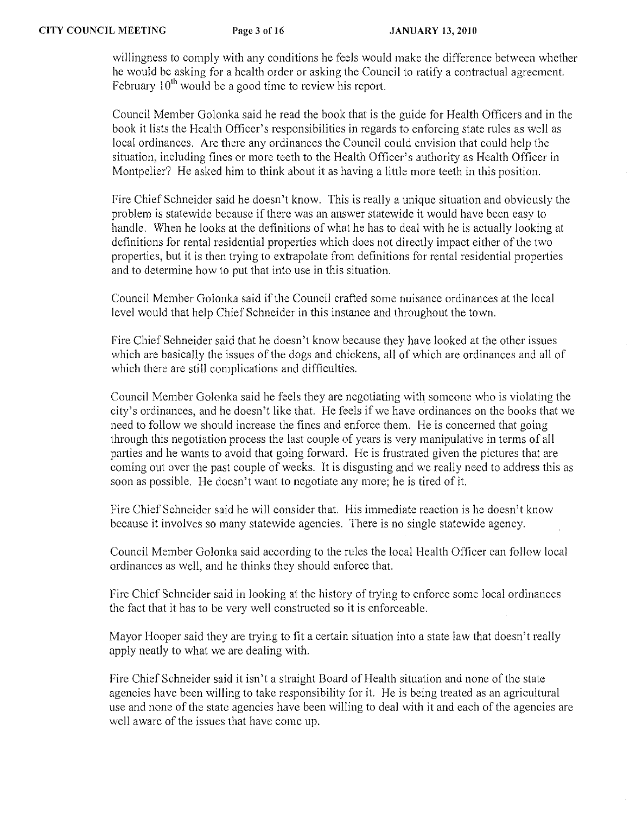willingness to comply with any conditions he feels would make the difference between whether he would bc asking for a health order or asking the Council to ratify a contractual agreement. February  $10^{th}$  would be a good time to review his report.

Council Member Golonka said he read the book that is the guide for Health Officers and in the book it lists the Health Officer's responsibilities in regards to enforcing state rules as well as local ordinances. Are there any ordinances the Council could envision that could help the situation, including fines or more teeth to the Health Officer's authority as Health Officer in Montpelier? He asked him to think about it as having a little more teeth in this position.

Fire Chief Schneider said he doesn't know. This is really a unique situation and obviously the problem is statewide because if there was an answer statewide it would have been easy to handle. When he looks at the definitions of what he has to deal with he is actually looking at definitions for rental residential properties which does not directly impact either of the two properties, but it is then trying to extrapolate from definitions for rental residential properties and to determine how to put that into use in this situation.

Council Member Golonka said if the Council crafted some nuisance ordinances at the local level would that help Chief Schneider in this instance and throughout the town.

Fire Chief Schneider said that he doesn't know because they have looked at the other issues which are basically the issues of the dogs and chickens, all of which are ordinances and all of which there are still complications and difficulties.

Council Member Golonka said he feels they are ncgotiating with someone who is violating the city's ordinances, and he doesn't like that. He feels if we have ordinances on the books that we need to follow we should increase the fines and enforce them. He is concerned that going through this negotiation process the last couple of years is very manipulativc in terms of all parties and he wants to avoid that going forward. He is frustrated given the pictures that are coming out over the past couple of weeks. It is disgusting and we really need to address this as soon as possible. He doesn't want to negotiate any more; he is tired of it.

Fire Chief Schneider said he will consider that. His immediate reaction is he doesn't know because it involves so many statewide agencies. There is no single statewide agency.

Council Member Golonka said according to the rules the local Healtb Officer can follow local ordinances as well, and he thinks they should enforce that.

Fire Chief Schneider said in looking at the history of trying to enforce some local ordinances the fact that it has to be very well constructed so it is enforceable.

Mayor Hooper said they arc trying to fit a certain situation into a state law that doesn't really apply neatly to what we arc dealing with.

Fire Chief Schneider said it isn't a straight Board of Health situation and none of the state agencies havc been willing to take responsibility for it. He is being treated as an agricultural use and none of the state agencies have been willing to deal witb it and each of the agencies are well aware of the issues that have come up.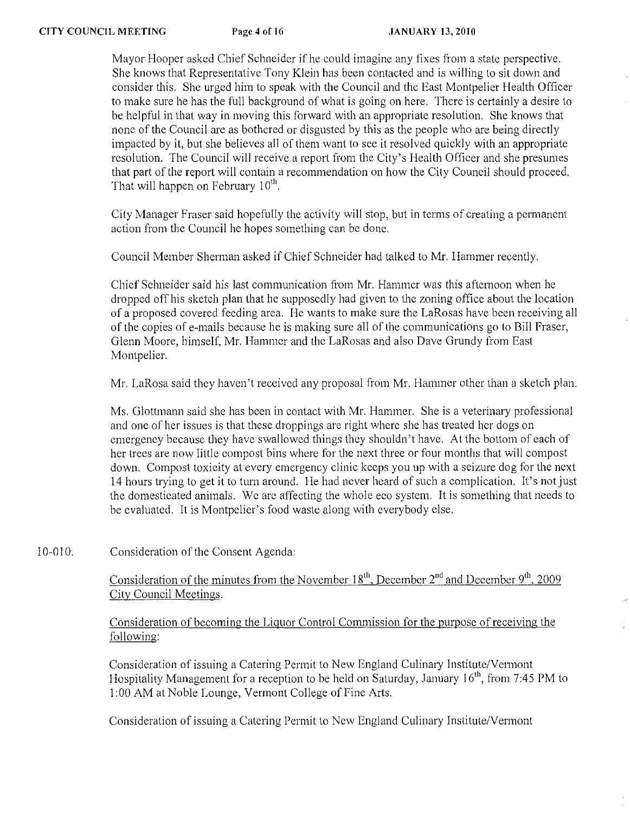Mayor Hooper asked Chief Schneider if he could imagine any fixes from a state perspective. She knows that Representative Tony Klein has been contacted and is willing to sit down and consider this. She urged him to speak with the Council and thc East Montpelier Health Officer to make sure he has the full background of what is going on here. Thcre is certainly a desire to be helpful in that way in moving this forward with an appropriate resolution. She knows that none of the Council are as bothered or disgusted by this as the people who are being directly impacted by it, but she believes all of them want to see it resolved quickly with an appropriate resolution. The Council will receive a report from the City's Health Officer and she presumes that part of the report will contain a recommendation on how the City Council should proceed. That will happen on February  $10<sup>th</sup>$ .

City Manager Fraser said hopefully the activity will stop, but in terms of creating a permanent action from the Council he hopes something can be done.

Council Member Sherman asked if Chief Schneider had talked to Mr. Hammer recently.

Chief Schneider said his last communication from Mr. Hammer was this afternoon when he dropped off his sketch plan that he supposedly had given to the zoning office about the location of a proposed covered feeding area. He wants to make sure the LaRosas have been receiving all of the copies of e-mails because he is making sure all of the communications go to Bill Fraser, Glenn Moore, himself, Mr. Hammer and the LaRosas and also Dave Grundy from East Montpelier.

Mr. LaRosa said they haven't received any proposal from Mr. Hammer other than a sketch plan.

Ms. Glottmann said she has been in contact with Mr. Hammer. She is a veterinary professional and one of her issues is that these droppings are right where she has treated her dogs on emergeney because they have swallowed things they shouldn't have. At the bottom of each of her trees are now little compost bins where for the next three or four months that will compost down. Compost toxicity at every emcrgency clinic keeps you up with a seizure dog for the next 14 hours trying to get it to turn around. He had ncver hcard of such a complication. It's not just the domesticated animals. We are affecting the whole eeo system. It is something that needs to be evaluated. It is Montpelier's food waste along with everybody else.

## 10-010. Consideration of the Consent Agcnda:

Consideration of the minutes from the November  $18<sup>th</sup>$ , December  $2<sup>nd</sup>$  and December  $9<sup>th</sup>$ , 2009 City Council Meetings.

Consideration of becoming the Liquor Control Commission for the purpose of receiving the following:

Consideration of issuing a Catering Permit to New England Culinary Institute/Vermont Hospitality Management for a reception to be held on Saturday, January 16<sup>th</sup>, from 7:45 PM to 1 :00 AM at Noble Lounge, Vermont College of Fine Arts.

Consideration of issuing a Catering Permit to New England Culinary Institute/Vermont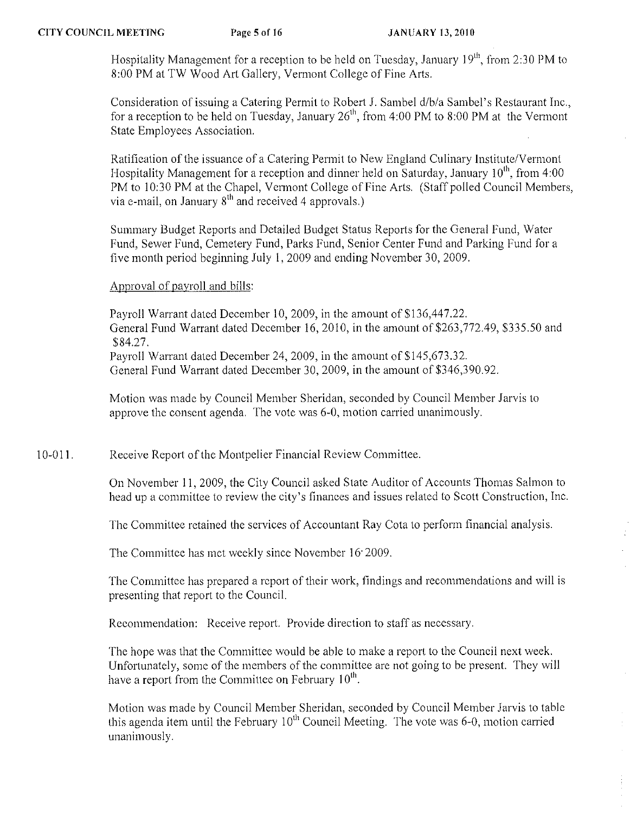Hospitality Management for a reception to be held on Tuesday, January  $19<sup>th</sup>$ , from 2:30 PM to 8:00 PM at TW Wood Art Gallery, Vermont College of Fine Arts.

Consideration of issuing a Catering Permit to Robert J. Sambel d/b/a Sambel's Restaurant Inc., for a reception to be held on Tuesday, January  $26<sup>th</sup>$ , from 4:00 PM to 8:00 PM at the Vermont State Employees Association.

Ratification of the issuance of a Catering Permit to New England Culinary Institute/Vermont Hospitality Management for a reception and dinner held on Saturday, January  $10^{th}$ , from 4:00 PM to 10:30 PM at the Chapel, Vermont College of Fine Arts. (Staff polled Council Members, via e-mail, on January  $8<sup>th</sup>$  and received 4 approvals.)

Summary Budget Reports and Detailed Budget Status Reports for the General Fund, Water Fund, Sewer Fund, Cemetery Fund, Parks Fund, Senior Center Fund and Parking Fund for a five month period beginning July 1,2009 and ending November 30, 2009.

# Approval of payroll and bills:

Payroll Warrant dated December 10, 2009, in the amount of \$136,447.22. General Fund Warrant dated December 16,2010, in the amount of\$263,772.49, \$335.50 and \$84.27. Payroll Warrant dated December 24, 2009, in the amount of \$145,673.32.

General Fund Warrant dated December 30, 2009, in the amount of \$346,390.92.

Motion was made by Council Member Sheridan, seconded by Council Member Jarvis to approve the consent agenda. The votc was 6-0, motion carried unanimously.

## 10-011. Receive Report of the Montpelier Financial Review Committee.

On November 11,2009, the City Council asked State Auditor of Accounts Thomas Salmon to head up a committee to review the city's finances and issues related to Scott Construction, Inc.

The Committee retained the services of Accountant Ray Cota to perform financial analysis.

The Committee has met weekly since November 16' 2009.

The Committee has prepared a report of their work, findings and recommendations and will is presenting that report to the Council.

Recommendation: Receive report. Provide direction to staff as necessary,

The hope was that the Committee would be able to make a report to the Council next week, Unfortunately, some of the members of the committee are not going to be present. They will have a report from the Committee on February  $10<sup>th</sup>$ .

Motion was made by Council Member Sheridan, seconded by Council Member Jarvis to table this agenda item until the February  $10^{th}$  Council Meeting. The vote was 6-0, motion carried unanimously.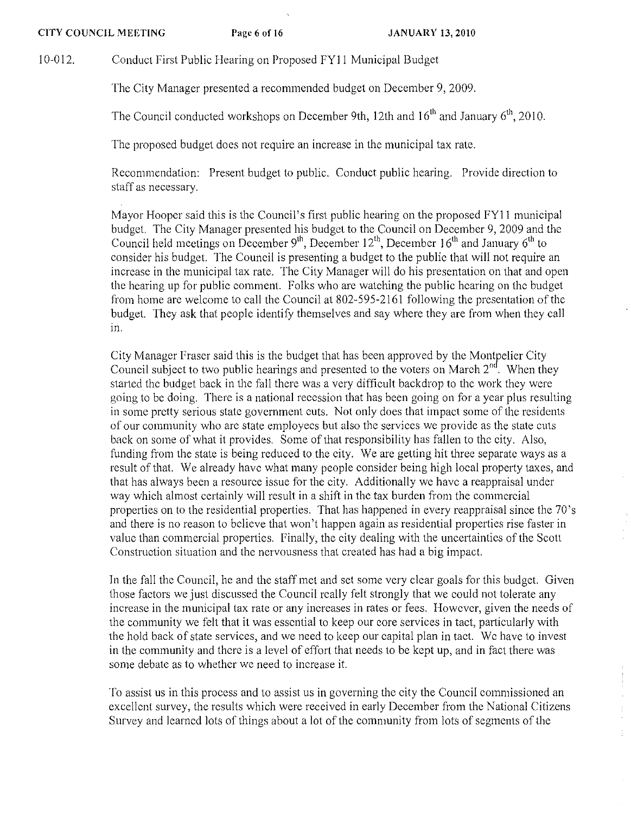10-012. Conduct First Public Hearing on Proposed FY11 Municipal Budget

The City Manager presented a recommended budget on December 9, 2009.

The Council conducted workshops on December 9th, 12th and  $16<sup>th</sup>$  and January  $6<sup>th</sup>$ , 2010.

The proposed budget does not require an increase in the municipal tax rate.

Recommendation: Present budget to public. Conduct public hearing. Provide direction to staff as necessary.

Mayor Hoopcr said this is the Council's first public hearing on the proposed FYll municipal budget. The City Managcr presented his budget to the Council on December 9, 2009 and thc Council held meetings on December 9<sup>th</sup>, December 12<sup>th</sup>, December 16<sup>th</sup> and January 6<sup>th</sup> to consider his budget. The Council is presenting a budget to the public that will not require an increase in the municipal tax ratc. The City Manager will do his presentation on that and open the hearing up for public comment. Folks who are watching the public hcaring on thc budget from home are welcome to call the Council at 802-595-2161 following the presentation of the budget. They ask that people identify themselves and say where they are from when they call in.

City Manager Frascr said this is the budget that has bcen approvcd by the Montpelier City Council subject to two public hearings and presented to the voters on March  $2<sup>nd</sup>$ . When they startcd thc budget back in thc fall there was a very difficult backdrop to the work they were going to be doing. There is a national reccssion that has been going on for a ycar plus resulting in some pretty serious state government cuts. Not only does that impact some of the residents of our community who arc state employecs but also the services we provide as the state cuts back on some of what it provides. Some of that responsibility has fallen to thc city. Also, funding from the state is being reduced to the city. We are getting hit three separate ways as a result of that. We already have what many people consider being high local property taxes, and that has always been a resource issue for the city. Additionally we havc a reappraisal under way which almost certainly will result in a shift in thc tax burden from the commercial properties on to the residential properties. That has happened in every reappraisal since the 70's and there is no reason to believe that won't happen again as residential propcrties rise faster in valuc than commercial properties. Finally, the city dealing with the uncertaintics of the Scott Construction situation and thc nervousness that created has had a big impact.

In the fall the Council, he and the staff met and set some very clear goals for this budget. Given those factors we just discussed the Council really felt strongly that we could not tolerate any increase in the municipal tax rate or any increases in rates or fees. However, given the needs of the community we felt that it was esscntial to keep our eore services in tact, particularly with the hold back of state services, and we need to keep our capital plan in tact. Wc have to invest in the community and thcre is a level of effort that needs to be kept up, and in fact there was some debatc as to whether we need to increase it.

To assist us in this process and to assist us in governing thc city the Council commissioned an excellcnt survey, the rcsults which were received in early December from the National Citizens Survey and learncd lots of things about a lot of the community from lots of segments of the

ł

 $\frac{1}{4}$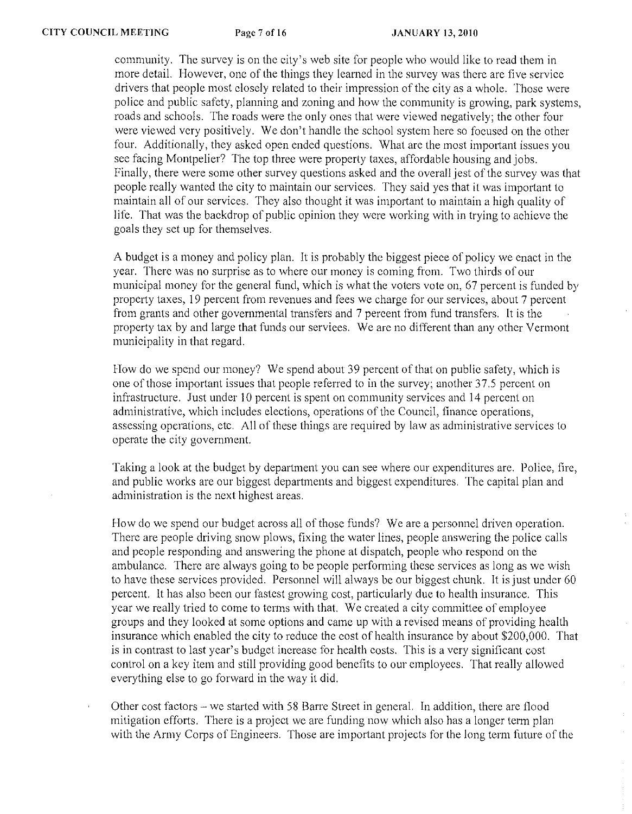community. The survey is on the city's web site for people who would like to read them in more detail. However, one of the things they learned in the survey was there are five service drivers that people most closely related to their impression of the city as a whole. Those were police and public safety, planning and zoning and how the community is growing, park systems, roads and schools. The roads were the only ones that were viewed negatively; the other four were viewed very positively. We don't handle the school system here so focused on the other four. Additionally, they asked open ended questions. What are the most important issues you see facing Montpelier? The top three were property taxes, affordable housing and jobs. Finally, there were some other survey questions asked and the overall jest of the survey was that people really wanted the city to maintain our services. They said yes that it was important to maintain all of our services. They also thought it was important to maintain a high quality of life. That was the backdrop of public opinion they were working with in trying to achieve the goals they set up for themselves.

A budget is a money and policy plan. It is probably thc biggest piece of policy we enact in the year. There was no surprise as to where our money is coming from. Two thirds of our municipal money for the general fund, which is what the voters vote on, 67 percent is funded by property taxes, 19 percent from revenues and fees we charge for our services, about 7 percent from grants and other governmental transfers and 7 percent from fund transfers. It is the property tax by and large that funds our serviees. We arc no different than any other Vermont municipality in that regard.

How do we spend our money? We spend about 39 percent of that on public safety, which is one of those important issues that people referred to in the survey; another 37.5 percent on infrastructure. Just under 10 percent is spent on community services and 14 percent on administrative, which includes elections, operations of the Council, finance operations, assessing opcrations, etc. All of these things are required by law as administrative services to operate the city government.

Taking a look at the budget by department you can see where our expenditures are. Police, fire, and public works are our biggest departments and biggest expenditures. The capital plan and administration is the next highest areas.

How do we spend our budget across all of those funds? We are a personnel driven operation. There are people driving snow plows, fixing the water lines, people answering the police calls and people responding and answering the phone at dispatch, people who respond on the ambulance. There are always going to be people performing these services as long as we wish to have these services provided. Personnel will always be our biggest chunk. It is just under 60 percent. It has also been our fastest growing cost, particularly due to health insurance. This year we really tried to come to terms with that. We created a city committee of employee groups and they looked at some options and came up with a revised means of providing health insurance which enabled the city to reduce the cost of health insurance by about \$200,000. That is in contrast to last year's budget increase for health costs. This is a very significant cost control on a key item and still providing good benefits to our employees. That really allowed everything else to go forward in the way it did.

Other cost factors - we started with 58 Barre Street in general. In addition, there are flood mitigation efforts. There is a project we are funding now which also has a longer term plan with the Army Corps of Engineers. Those are important projects for the long term future of the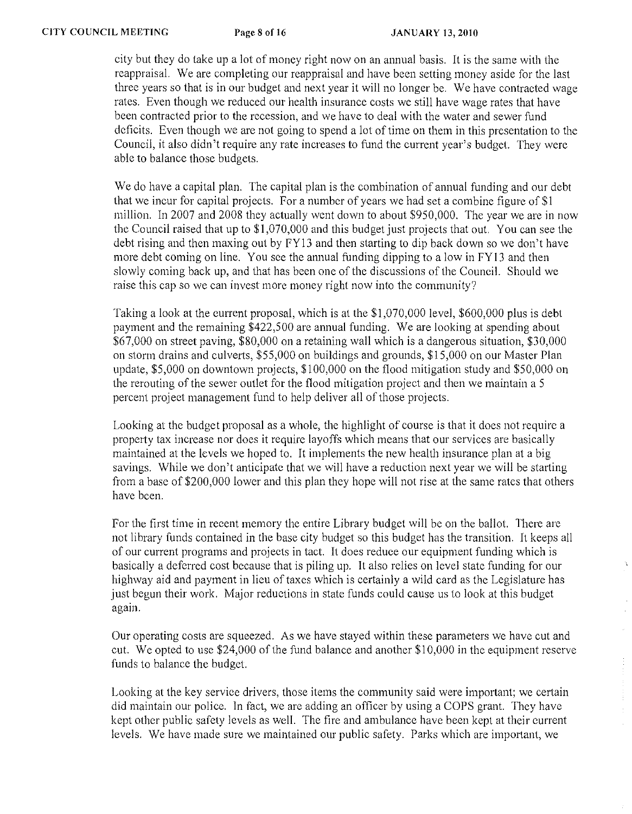city but they do take up a lot of money right now on an annual basis. It is the same with the reappraisal. We are completing our reappraisal and have been setting money aside for the last three years so that is in our budget and next year it will no longer be. We have contracted wage rates. Even though we reduced our health insurance costs we still have wage rates that have been contracted prior to the recession, and we have to deal with the water and sewer fund deficits. Even though we are not going to spend a lot of time on them in this presentation to the Council, it also didn't require any rate increases to fund the current year's budget. They were able to balance those budgets.

We do have a capital plan. The capital plan is the combination of annual funding and our debt that we incur for capital projects. For a number of years we had set a combine figure of \$1 million. In 2007 and 2008 they actually went down to about \$950,000. The year we are in now the Council raised that up to \$1,070,000 and this budget just projects that out. You can see the debt rising and then maxing out by FY13 and then starting to dip back down so we don't have more debt coming on line. You sce the annual funding dipping to a low in FY 13 and then slowly coming back up, and that has been one of the discussions of the Council. Should we raise this cap so we can invest more money right now into the community?

Taking a look at the current proposal, which is at the \$1,070,000 level, \$600,000 plus is debt payment and the remaining \$422,500 are annual funding. We are looking at spending about \$67,000 on street paving, \$80,000 on a retaining wall which is a dangerous situation, \$30,000 on storm drains and culverts, \$55,000 on buildings and grounds, \$15,000 on our Master Plan update, \$5,000 on downtown projects, \$100,000 on the flood mitigation study and \$50,000 on the rerouting of the sewer outlet for the flood mitigation project and then we maintain a 5 percent project management fund to help deliver all of those projects.

Looking at the budget proposal as a whole, the highlight of course is that it does not require a property tax increase nor does it require layoffs which means that our services are basically maintained at the levels we hoped to. It implements the new health insurance plan at a big savings. While we don't anticipate that we will have a reduction next year we will be starting from a base of \$200,000 lower and this plan they hope will not rise at the same rates that others have been.

For the first time in recent memory the entire Library budget will be on the ballot. There are not library funds contained in the base city budget so this budget has the transition. It keeps all of our current programs and projects in tact. It does reduce our equipment funding which is basically a deferred cost because that is piling up. It also relies on level state funding for our highway aid and payment in lieu of taxes which is certainly a wild card as the Legislature has just begun their work. Major reductions in state funds could cause us to look at this budget again.

Our operating costs are squeezed. As we have stayed within these parameters we have cut and cut. We opted to use \$24,000 of the fund balance and another \$10,000 in the equipment reserve funds to balance the budget.

Looking at the key service drivers, those items the community said were important; we certain did maintain our police. In fact, we are adding an officer by using a COPS grant. They have kept other public safety levels as well. The fire and ambulance have been kept at their current levels. We have made sure we maintained our public safety. Parks which are important, we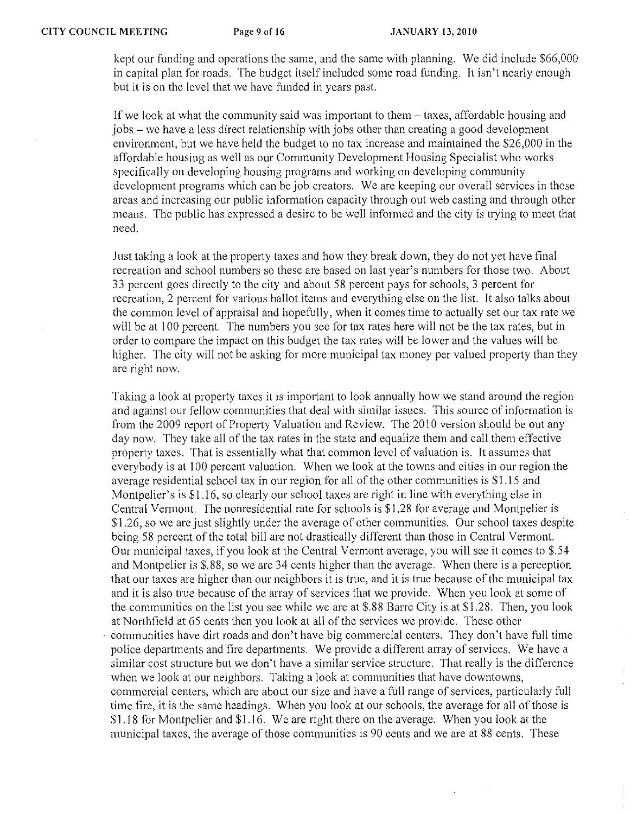kept our funding and operations the same, and the same with planning. We did include \$66,000 in capital plan for roads. The budgct itself includcd some road funding. It isn't nearly enough but it is on the level that we havc funded in years past.

If we look at what the community said was important to them – taxes, affordable housing and jobs - we have a less direct relationship with jobs other than creating a good development environmcnt, but we have held the budget to no tax increase and maintained the \$26,000 in the affordable housing as well as our Community Development Housing Specialist who works specifically on developing housing programs and working on developing community development programs which can be job creators. We are keeping our overall services in those areas and increasing our public information capacity through out web casting and through other means. The public has expressed a desirc to be well informed and the city is trying to meet that need.

Just taking a look at the property taxes and how they break down, they do not yet have final recreation and school numbers so these are based on last year's numbers for those two. About 33 percent goes directly to the city and about 58 percent pays for schools, 3 percent for recreation, 2 percent for various ballot items and everything else on the list. It also talks about the common level of appraisal and hopefully, when it comes time to actually set our tax rate we will be at 100 percent. The numbers you see for tax rates here will not be the tax rates, but in order to compare the impact on this budget the tax rates will be lower and the values will be higher. The city will not be asking for more municipal tax money per valued property than they are right now.

Taking a look at property taxes it is important to look annually how we stand around the region and against our fellow communities that deal with similar issues. This source of information is from the 2009 report of Property Valuation and Review. The 2010 version should be out any day now. Thcy take all of the tax rates in the state and equalize them and call them effective property taxes. That is essentially what that common level of valuation is. It assumes that everybody is at 100 percent valuation. When we look at the towns and cities in our region the average residential school tax in our region for all of the other communities is \$1.15 and Montpelier's is \$1.16, so clearly our school taxes are right in line with everything else in Central Vermont. The nonresidential rate for schools is \$1.28 for average and Montpelier is \$1.26, so we are just slightly under the average of other communities. Our school taxes despite being 58 percent of the total bill are not drastically different than those in Central Vermont. Our municipal taxes, if you look at the Central Vermont average, you will see it comes to \$.54 and Montpelier is \$.88, so we are 34 cents higher than the average. When there is a perception that our taxes are higher than our neighbors it is true, and it is true because of the municipal tax and it is also true because of the array of services that we provide. When you look at some of the communities on the list you see while we are at \$.88 Barre City is at \$1.28. Then, you look at Northfield at 65 cents then you look at all of the services we provide. These other communities have dirt roads and don't have big commercial centers. They don't have full time police departments and fire departments. We provide a different array of services. We have a similar cost structure but we don't have a similar service structure. That really is the difference when we look at our neighbors. Taking a look at communities that have downtowns, commercial centers, which arc about our size and have a full range of services, particularly full time fire, it is the same headings. When you look at our schools, the average for all of those is \$1.18 for Montpelier and \$1.16. We are right there on the average. When you look at the municipal taxes, the average of those communities is 90 cents and we are at 88 cents. These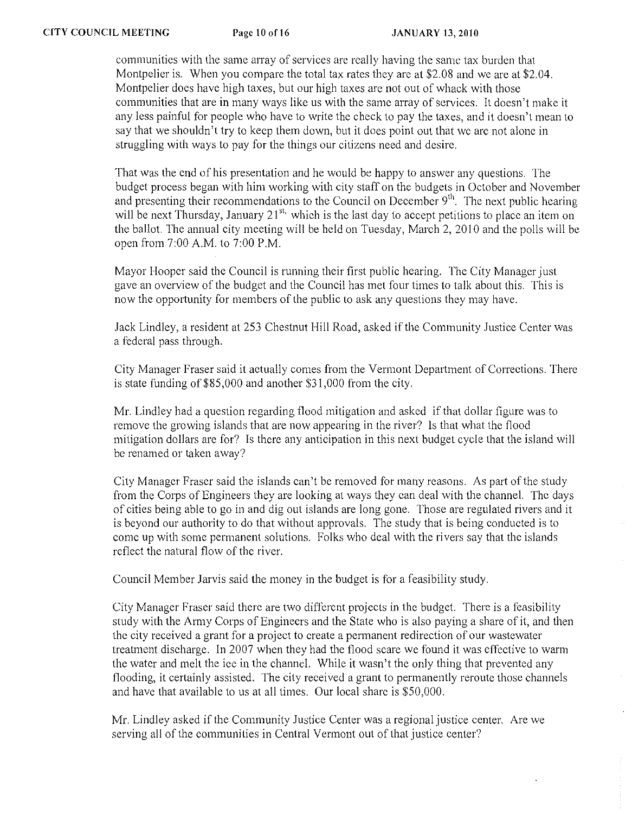communities with the same array of services are rcally having the samc tax burden that Montpelier is. When you compare the total tax rates they are at \$2.08 and we are at \$2.04. Montpelier does have high taxes, but our high taxes are not out of whack with those communities that are in many ways like us with the same array of services. It doesn't make it any less painful for people who have to write the check to pay the taxes, and it doesn't mean to say that we shouldn't try to keep them down, but it does point out that we arc not alone in struggling with ways to pay for the things our citizens need and desire.

That was the end of his presentation and he would be happy to answer any questions. The budget process began with him working with city staff on the budgets in October and November and presenting their recommendations to the Council on December  $9<sup>th</sup>$ . The next public hearing will be next Thursday, January  $21^{st}$ , which is the last day to accept petitions to place an item on the ballot. The annual city meeting will be held on Tuesday, March 2, 20 10 and the polls will be open from 7:00 A.M. to 7:00 P.M.

Mayor Hooper said the Council is running their first public hearing. The City Manager just gave an overview of the budget and the Council has met four times to talk about this. This is now the opportunity for members of the public to ask any questions they may have.

Jack Lindley, a resident at 253 Chestnut Hill Road, asked if the Community Justice Center was a federal pass through.

City Manager Fraser said it actually comes from the Vennont Department of Corrections. There is state funding of \$85,000 and another \$31,000 from the city.

Mr. Lindley had a question regarding flood mitigation and asked if that dollar figure was to remove the growing islands that are now appearing in the river? Is that what the flood mitigation dollars arc for? Is there any anticipation in this next budget cycle that the island will be renamed or taken away?

City Manager Fraser said the islands can't be removed for many reasons. As part of the study from the Corps of Engineers they are looking at ways they can deal with the channel. The days of cities being able to go in and dig out islands are long gone. Those are regulated rivers and it is beyond our authority to do that without approvals. The study that is being conducted is to come up with some permanent solutions. Folks who deal with the rivers say that the islands reflect the natural flow of the river.

Council Member Jarvis said the money in the budget is for a feasibility study.

City Manager Fraser said there are two different projects in the budget. There is a feasibility study with the Army Corps of Engineers and the State who is also paying a share of it, and then the city received a grant for a project to create a permanent redirection of our wastewater treatment discharge. In 2007 when they had the flood scare we found it was effective to warm the water and melt the ice in the channcl. While it wasn't the only thing that prevented any flooding, it certainly assisted. The city received a grant to permanently reroute those channels and have that available to us at all times. Our local share is \$50,000.

Mr. Lindley asked if the Community Justice Center was a regional justice center. Arc we serving all of the communities in Central Vermont out of that justice center?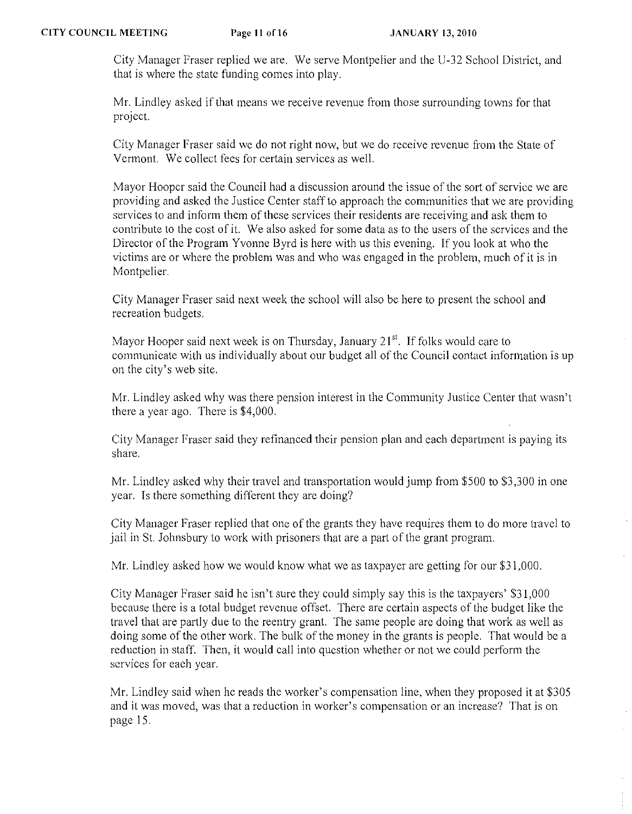City Manager Fraser replied we arc. We serve Montpelier and the U-32 School District, and that is where the state funding comes into play.

Mr. Lindley asked if that means we receive revenue from those surrounding towns for that project.

City Manager Fraser said we do not right now, but we do receive revenue from the State of Vermont. We collect fees for certain services as well.

Mayor Hooper said the Council had a discussion around the issue of the sort of service we are providing and asked the Justice Center staff to approach the communities that we are providing services to and inform them of these services their residents are receiving and ask them to contribute to the cost of it. We also asked for some data as to the users of the services and the Director of the Program Yvonne Byrd is here with us this evening. If you look at who the victims are or where the problem was and who was engaged in the problem, much of it is in Montpelier.

City Manager Frascr said next week the school will also be here to present the school and recreation budgets.

Mayor Hooper said next week is on Thursday, January  $21<sup>st</sup>$ . If folks would care to communicate with us individually about our budget all of the Council contact information is up on the city's web site.

Mr. Lindley asked why was there pension interest in the Community Justice Center that wasn't there a year ago. There is \$4,000.

City Manager Fraser said they refinanced their pension plan and each department is paying its share.

Mr. Lindley asked why their travel and transportation would jump from \$500 to \$3,300 in one year. Is there something different they are doing?

City Manager Fraser replied that one of the grants they have requires them to do more travel to jail in St. Johnsbury to work with prisoners that are a part of the grant program.

Mr. Lindley asked how we would know what we as taxpayer are getting for our \$31,000.

City Manager Fraser said he isn't sure they could simply say this is the taxpayers' \$31,000 because there is a total budget revenue offset. There are certain aspects of the budget like the travel that are partly due to the reentry grant. The same people are doing that work as well as doing some of the other work. The bulk of the money in the grants is people. That would be a reduction in staff. Then, it would call into question whether or not we could perform the services for each year.

Mr. Lindley said when he reads the worker's compensation line, when they proposed it at \$305 and it was moved, was that a reduction in worker's compensation or an increase? That is on page 15.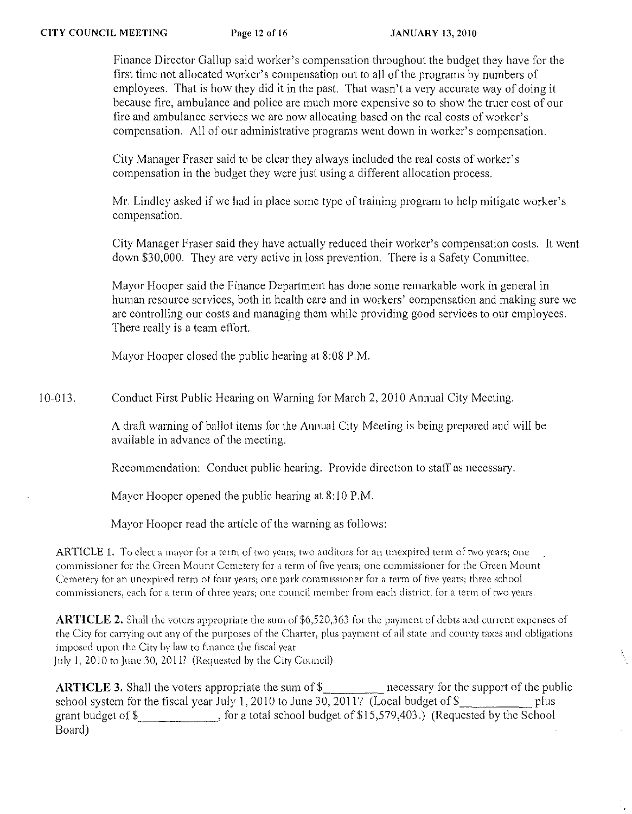Finance Director Gallup said worker's compensation throughout the budget they have for the first time not allocated worker's compensation out to all of the programs by numbers of employees. That is how they did it in the past. That wasn't a very accurate way of doing it because fire, ambulance and police are much more expensive so to show the truer cost of our fire and ambulance services we are now allocating based on the real costs of worker's compensation. All of our administrative programs went down in worker's compensation.

City Manager Fraser said to be clear they always included the real costs of worker's compensation in the budget they were just using a different allocation process.

Mr. Lindley asked if we had in place some type of training program to help mitigate worker's compensation.

City Manager Fraser said they have actually reduced their worker's compensation costs. It went down \$30,000. They arc very active in loss prevention. There is a Safety Committee.

Mayor Hooper said the Finance Department has done some remarkable work in general in human resource services, both in hcalth care and in workers' compensation and making sure we are controlling our costs and managing them while providing good services to our employees. There really is a team effort.

Mayor Hooper closed the public hearing at 8:08 P.M.

10-013. Conduct First Public Hearing on Warning for March 2, 2010 Annual City Meeting.

> A draft warning of ballot items for the Annual City Meeting is being prepared and will be available in advance of the meeting.

Recommendation: Conduct public hearing. Provide direction to staff as necessary.

Mayor Hooper opened the public hearing at 8:10 P.M.

Mayor Hooper read the article of the warning as follows:

**ARTICLE 1.** To elect a mayor for a term of two years; two auditors for an unexpired term of two years; one **corn.missioner for the Green Mount Cemetery for a term of five years; one commissioner for the Green Mount**  Cemetery for an unexpired term of four years; one park commissioner for a term of five years; three school commissioners, each for a term of three years; one council member from each district, for a term of two years.

**ARTICLE 2.** Shall the voters appropriate the sum of \$6,520,363 for the payment of debts and current expenses of the City for carrying out any of the purposes of the Charter, plus payment of all state and county taxes and obligations imposed upon the City by law to finance the fiscal year July I, 2010 to June 30,2011' (Requested by the City Council)

Ų

**ARTICLE 3.** Shall the voters appropriate the sum of \$\_\_\_\_\_\_\_\_\_\_\_ necessary for the support of the public school system for the fiscal year July 1, 2010 to June 30, 2011? (Local budget of  $\frac{1}{2}$  plus grant budget of  $\$\$ , for a total school budget of  $\$15,579,403$ .) (Requested by the School Board)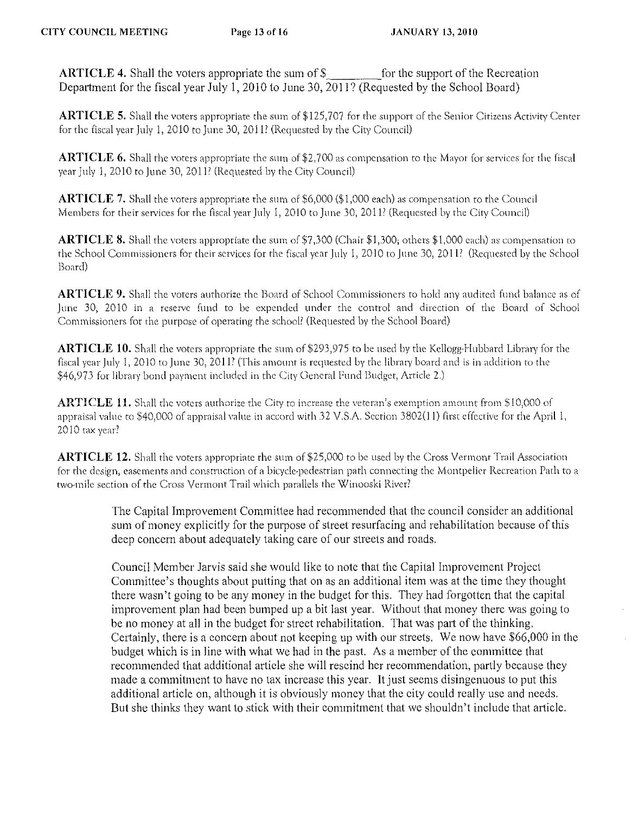**ARTICLE 4.** Shall the voters appropriate the sum of  $\$\$  for the support of the Recreation Department for the fiscal year July 1, 2010 to June 30, 2011? (Requested by the School Board)

ARTICLE 5. Shall the voters appropriate the sum of \$125,707 for the support of the Senior Citizens Activity Center for the fiscal year July 1,2010 to June 30, 201l? (Requested by the City Council)

**ARTICLE 6.** Shall the voters appropriate the sum of \$2,700 as compensation to the Mayor for services for the fiscal year July 1, 2010 to June 30, 2011? (Requested by the City Council)

ARTICLE 7. Shall the voters appropriate the sum of \$6,000 (\$1,000 each) as compensation to the Council Members for their services (or the fiscal year July 1, 2010 to june 30, 201l? (Requested by the City Council)

ARTICLE 8. Shall the voters approptiate the sum of \$7,300 (Chair \$1,300; others \$1,000 each) as compensation to the School Commissioners for their services for the fiscal year July 1, 2010 to June 30, 2011? (Requested by the School Board)

ARTICLE 9. Shall the voters authorize the Board of School Commissioners to hold any audited fund balance as of June 30, 2010 in a reserve fund to be expended under the control and direction of the Board of School Commissioners for rhe purpose of operating the school? (Requested by the School Board)

ARTICLE 10. Shall the voters appropriate the sum of \$293,975 to be used by the Kellogg-Hubbard Library for the fiscal year July 1, 2010 to June 30, 2011? (This amount is requested by the library board and is in addition to the \$46,973 for library bond payment included in the City General Fund Budget, Article 2.)

**ARTICLE 11.** Shall the voters authorize the City to increase the veteran's exemption amount from \$10,000 of appraisal value to \$40,000 of appraisal value in accord with 32 V.S.A. Section 3802(1 1) first effective for the April I,  $2010$  tax year?

**ARTICLE 12.** Shall the voters appropriate the sum of \$25,000 to be used by the Cross Vermont Trail Association for the design, easements and construction of a bicycle-pedestrian path connecting the Montpelier Recreation Path to a two-mile section of the Cross Vermont Trail which parallels the Winooski River?

> The Capital Improvement Committee had recommended that the council consider an additional sum of money explicitly for the purpose of street resurfacing and rehabilitation because of this deep concern about adequately taking care of our streets and roads.

> Council Member Jarvis said she would like to note that the Capital Improvement Project Committee's thoughts about putting that on as an additional item was at the time they thought there wasn't going to be any money in the budget for this. They had forgotten that the capital improvement plan had been bumped up a bit last year. Without that money there was going to be no money at all in the budget for street rehabilitation. That was part of the thinking. Certainly, there is a concern about not keeping up with our streets. We now have \$66,000 in the budget which is in line with what we had in the past. As a member of the committee that recommended that additional article she will rescind her recommendation, partly because they made a commitment to have no tax increase this year. It just seems disingenuous to put this additional article on, although it is obviously money that the city could really use and needs. But she thinks they want to stick with their commitment that we shouldn't include that article.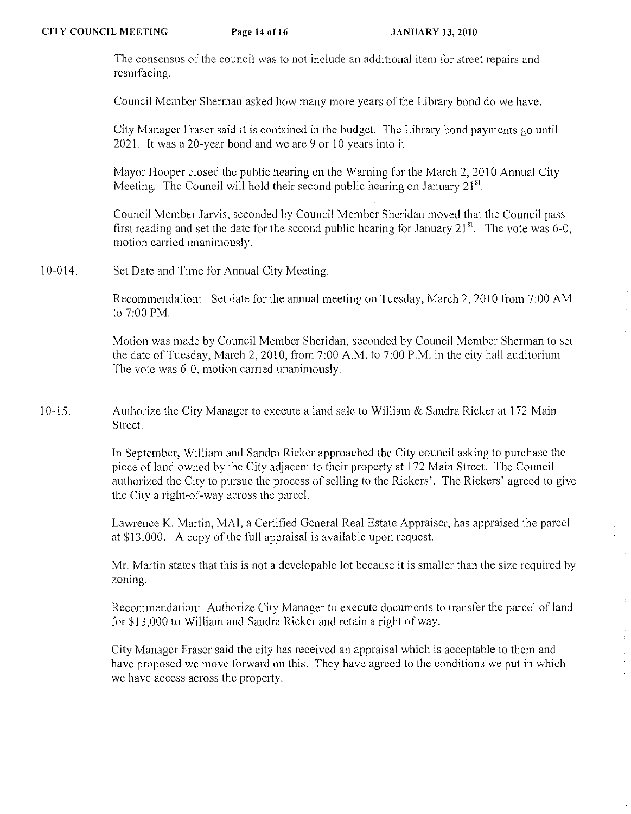'fhe consensus of the council was to not include an additional item for street repairs and resurfacing,

Council Member Sherman asked how many more years of the Library bond do we have,

City Manager Fraser said it is contained in the budget. The Library bond payments go until 202L It was a 20-year bond and we are 9 or 10 years into it.

Mayor Hooper closed the public hearing on the Warning for the March 2, 2010 Annual City Meeting. The Council will hold their second public hearing on January  $21^{st}$ .

Council Member Jarvis, seconded by Council Member Sheridan moved that the Council pass first reading and set the date for the second public hearing for January  $21^{st}$ . The vote was 6-0, motion carried unanimously,

10-014, Set Date and Time for Annual City Meeting.

> Recommendation: Set date for the annual meeting on Tuesday, March 2, 2010 from 7:00 AM to 7:00 PM,

> Motion was made by Council Member Sheridan, seconded by Council Member Sherman to set the date of Tuesday, March 2, 2010, from  $7:00$  A,M, to  $7:00$  P,M, in the city hall auditorium. The vote was 6-0, motion carried unanimously,

10-15, Authorize the City Manager to execute a land sale to William & Sandra Ricker at 172 Main Street.

> In September, William and Sandra Ricker approached the City council asking to purchase the piece of land owned by the City adjacent to their property at 172 Main Street. The Council authorized the City to pursue the process of selling to the Rickers', The Rickers' agreed to give the City a right-of-way across the parceL

Lawrence K, Martin, MAl, a Certified General Real Estate Appraiser, has appraised the paree[ at \$13,000, A copy of the full appraisal is available upon request

Mr, Martin states that this is not a developable lot because it is smaller than the size required by zoning,

Recommendation: Authorize City Manager to execute documents to transfer the parcel of land for \$13,000 to William and Sandra Ricker and retain a right of way,

City Manager Fraser said the city has received an appraisal which is acceptable to them and have proposed we move forward on this, They have agreed to the conditions we put in which we have access across the property,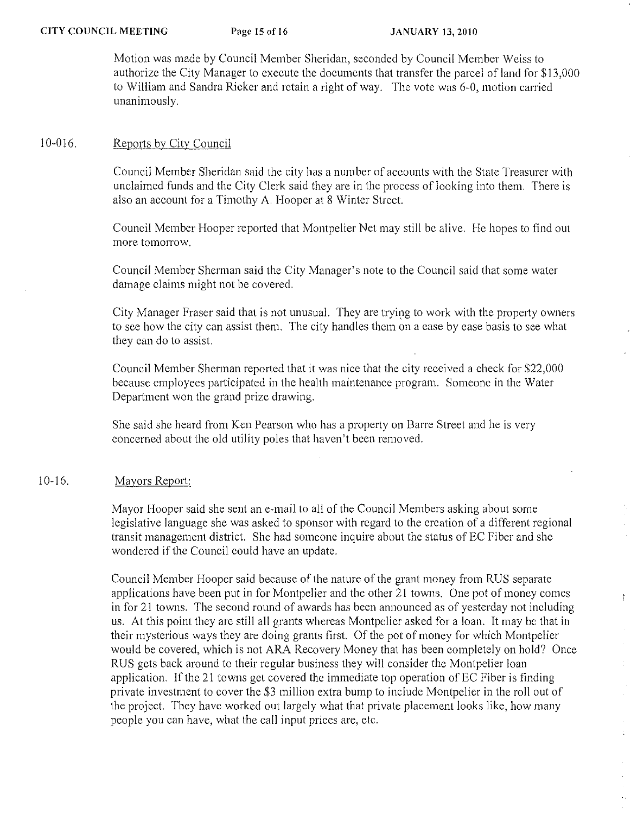Motion was made by Council Member Sheridan, seconded by Council Member Weiss to authorize the City Manager to execute the documcnts that transfer the parcel of land for \$13,000 to William and Sandra Ricker and rctain a right of way. The vote was 6-0, motion carried unanimously.

### 10-016. Reports by City Council

Council Member Sheridan said the city has a number of accounts with the State Treasurer with unclaimcd funds and the City Clerk said they are in thc process of looking into them. There is also an account for a Timothy A. Hooper at 8 Winter Street.

Council Mcmber Hooper reported that Montpelier Net may still bc alive. He hopes to find out more tomorrow.

Council Member Sherman said the City Manager's note to the Council said that some water damage claims might not be covered.

City Manager Fraser said that is not unusual. They are trying to work with the property owners to sce how the city can assist them. The city handles them on a case by case basis to sce what they can do to assist.

Council Member Sherman reported that it was nice that the city received a check for \$22,000 bccause employees participated in the health maintenance program. Someone in the Water Department won the grand prize drawing.

She said she heard from Ken Pearson who has a property on Barre Street and he is very concerned about the old utility poles that haven't been removed.

## 10-16. Mayors Report:

Mayor Hooper said she sent an e-mail to all of the Council Members asking about some legislative language she was asked to sponsor with regard to the creation of a different regional transit management district. She had someone inquire about the status of EC Fiber and she wondered if the Council could have an update.

Council Member Hoopcr said because of the nature of the grant money from RUS separate applications have been put in for Montpelier and the other 21 towns. One pot of money comes in for 21 towns. The second round of awards has been announced as of yesterday not including us. At this point they are still all grants whereas Montpelier asked for a loan. It may bc that in their mysterious ways they are doing grants first. Of the pot of money for which Montpelier would be covered, which is not ARA Recovery Money that has been completely on hold? Once RUS gets back around to their regular business they will consider the Montpelier loan application. If the 21 towns get covered the immediate top operation of EC Fiber is finding private investment to cover the \$3 million extra bump to include Montpelier in the roll out of the project. Thcy have worked out largely what that private placement looks like, how many people you can have, what the call input prices are, etc.

 $\frac{1}{4}$ 

 $\frac{1}{\hbar}$